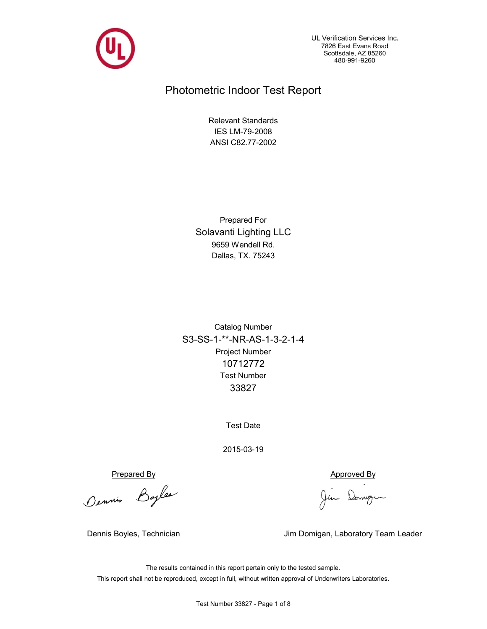

UL Verification Services Inc. 7826 East Evans Road Scottsdale, AZ 85260 480-991-9260

# Photometric Indoor Test Report

ANSI C82.77-2002 IES LM-79-2008 Relevant Standards

Dallas, TX. 75243 9659 Wendell Rd. Solavanti Lighting LLC Prepared For

Project Number 10712772 S3-SS-1-\*\*-NR-AS-1-3-2-1-4 33827 Test Number Catalog Number

Test Date

2015-03-19

Prepared By<br>Dennis Bayles (Jim Domingum

Dennis Boyles, Technician Jim Domigan, Laboratory Team Leader

The results contained in this report pertain only to the tested sample. This report shall not be reproduced, except in full, without written approval of Underwriters Laboratories.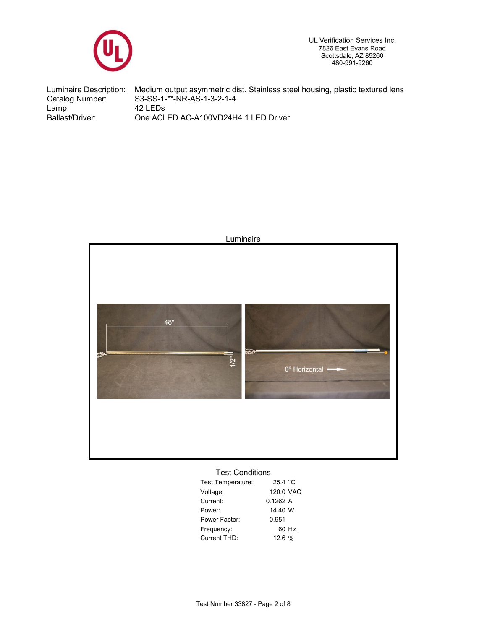

UL Verification Services Inc. 7826 East Evans Road Scottsdale, AZ 85260<br>480-991-9260

Ballast/Driver: 42 LEDs Luminaire Description: Catalog Number: Medium output asymmetric dist. Stainless steel housing, plastic textured lens S3-SS-1-\*\*-NR-AS-1-3-2-1-4 Lamp: One ACLED AC-A100VD24H4.1 LED Driver



## Test Conditions

| Test Temperature: | 25.4 °C   |
|-------------------|-----------|
| Voltage:          | 120.0 VAC |
| Current:          | 01262 A   |
| Power:            | 14.40 W   |
| Power Factor:     | 0.951     |
| Frequency:        | 60 Hz     |
| Current THD:      | 12.6%     |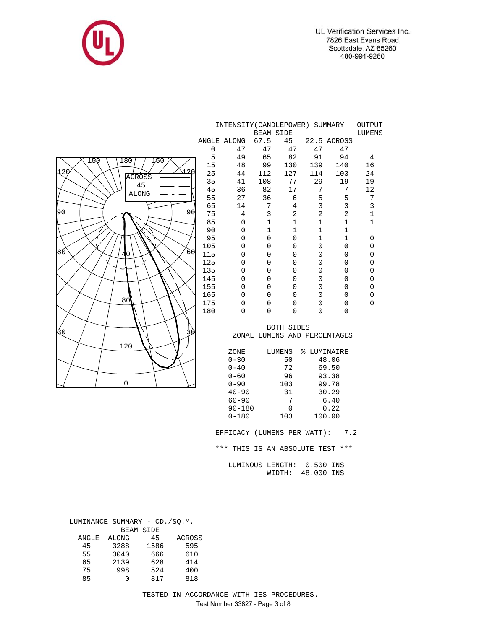

|                    | INTENSITY (CANDLEPOWER) SUMMARY<br>OUTPUT<br><b>BEAM SIDE</b> |                      |                  |                     |                       |                              |                            |  |  |  |  |
|--------------------|---------------------------------------------------------------|----------------------|------------------|---------------------|-----------------------|------------------------------|----------------------------|--|--|--|--|
|                    |                                                               |                      |                  |                     |                       |                              | <b>LUMENS</b>              |  |  |  |  |
|                    |                                                               | ANGLE ALONG          | 67.5             | 45                  |                       | 22.5 ACROSS                  |                            |  |  |  |  |
|                    | 0                                                             | 47                   | 47               | 47                  | 47                    | 47                           |                            |  |  |  |  |
| 150<br>180<br>1/50 | 5                                                             | 49                   | 65               | 82                  | 91                    | 94                           | $\overline{4}$             |  |  |  |  |
| 120<br>.1 2 N      | 15                                                            | 48                   | 99               | 130                 | 139                   | 140                          | 16                         |  |  |  |  |
| <b>ACROSS</b>      | 25<br>35                                                      | 44                   | 112              | 127<br>77           | 114                   | 103                          | 24                         |  |  |  |  |
| 45                 | 45                                                            | 41<br>36             | 108<br>82        | 17                  | 29<br>$7\phantom{.0}$ | 19<br>$7\phantom{.0}$        | 19<br>12                   |  |  |  |  |
| <b>ALONG</b>       |                                                               | 27                   |                  |                     |                       |                              |                            |  |  |  |  |
|                    | 55<br>65                                                      |                      | 36               | 6                   | 5<br>3                | 5<br>$\overline{3}$          | $\sqrt{ }$<br>$\mathbf{3}$ |  |  |  |  |
| 90<br>90           | 75                                                            | 14<br>$\overline{4}$ | 7<br>$\mathsf 3$ | 4<br>$\overline{a}$ | $\overline{a}$        | $\overline{a}$               | $\mathbf 1$                |  |  |  |  |
|                    | 85                                                            | $\overline{0}$       | $\mathbf{1}$     | $\mathbf{1}$        | $\mathbf{1}$          | $\mathbf{1}$                 | $\mathbf 1$                |  |  |  |  |
|                    | 90                                                            | $\mathsf 0$          | $\mathbf 1$      | $\mathbf 1$         | $\mathbf{1}$          | 1                            |                            |  |  |  |  |
|                    | 95                                                            | $\mathsf 0$          | $\mathbf 0$      | $\overline{0}$      | $\mathbf{1}$          | $\mathbf{1}$                 | 0                          |  |  |  |  |
|                    | 105                                                           | $\mathbf 0$          | 0                | $\mathsf 0$         | $\mathbf 0$           | $\mathbf 0$                  | $\mathsf 0$                |  |  |  |  |
| 60<br>60<br>0      | 115                                                           | 0                    | $\mathbf 0$      | $\overline{0}$      | $\mathbf 0$           | $\mathbf 0$                  | $\overline{0}$             |  |  |  |  |
|                    | 125                                                           | $\overline{0}$       | $\overline{0}$   | $\overline{0}$      | $\mathbf 0$           | $\mathbf 0$                  | $\overline{0}$             |  |  |  |  |
|                    | 135                                                           | $\mathsf 0$          | 0                | 0                   | $\mathbf 0$           | $\mathbf 0$                  | $\mathsf 0$                |  |  |  |  |
|                    | 145                                                           | 0                    | $\overline{0}$   | $\overline{0}$      | $\mathbf 0$           | $\mathbf 0$                  | $\overline{0}$             |  |  |  |  |
|                    | 155                                                           | $\overline{0}$       | $\mathbf 0$      | $\overline{0}$      | $\mathbf 0$           | $\mathbf 0$                  | $\overline{0}$             |  |  |  |  |
|                    | 165                                                           | $\mathsf 0$          | $\mathbf 0$      | $\mathbf 0$         | $\mathbf 0$           | $\mathbf 0$                  | $\mathsf 0$                |  |  |  |  |
| 8 <sub>0</sub>     | 175                                                           | $\overline{0}$       | $\mathbf 0$      | $\mathbf 0$         | $\mathbf 0$           | $\mathbf 0$                  | $\overline{0}$             |  |  |  |  |
|                    | 180                                                           | $\overline{0}$       | $\mathbf 0$      | $\mathbf 0$         | $\Omega$              | $\mathbf 0$                  |                            |  |  |  |  |
|                    |                                                               |                      |                  |                     |                       |                              |                            |  |  |  |  |
|                    |                                                               |                      |                  | <b>BOTH SIDES</b>   |                       |                              |                            |  |  |  |  |
| Δ0                 |                                                               |                      |                  |                     |                       | ZONAL LUMENS AND PERCENTAGES |                            |  |  |  |  |
| 120                |                                                               |                      |                  |                     |                       |                              |                            |  |  |  |  |
|                    |                                                               | ZONE                 |                  | LUMENS              |                       | % LUMINAIRE                  |                            |  |  |  |  |
|                    |                                                               | $0 - 30$             |                  | 50                  |                       | 48.06                        |                            |  |  |  |  |
|                    |                                                               | $0 - 40$             |                  | 72                  |                       | 69.50                        |                            |  |  |  |  |
|                    |                                                               | $0 - 60$             |                  | 96                  |                       | 93.38                        |                            |  |  |  |  |
|                    |                                                               | $0 - 90$             |                  | 103                 |                       | 99.78                        |                            |  |  |  |  |
|                    |                                                               | $40 - 90$            |                  | 31                  |                       | 30.29                        |                            |  |  |  |  |
|                    |                                                               | $60 - 90$            |                  | 7                   |                       | 6.40                         |                            |  |  |  |  |
|                    |                                                               | $90 - 180$           |                  | $\mathbf 0$         |                       | 0.22                         |                            |  |  |  |  |
|                    |                                                               | $0 - 180$            |                  | 103                 |                       | 100.00                       |                            |  |  |  |  |
|                    |                                                               |                      |                  |                     |                       |                              |                            |  |  |  |  |

EFFICACY (LUMENS PER WATT): 7.2

\*\*\* THIS IS AN ABSOLUTE TEST \*\*\*

 LUMINOUS LENGTH: 0.500 INS WIDTH: 48.000 INS

| LUMINANCE SUMMARY - CD./SQ.M. |       |                  |               |
|-------------------------------|-------|------------------|---------------|
|                               |       | <b>BEAM SIDE</b> |               |
| ANGLE                         | ALONG | 45               | <b>ACROSS</b> |
| 45                            | 3288  | 1586             | 595           |
| 55                            | 3040  | 666              | 610           |
| 65                            | 2139  | 628              | 414           |
| 75                            | 998   | 524              | 400           |
| 85                            |       | 817              | 818           |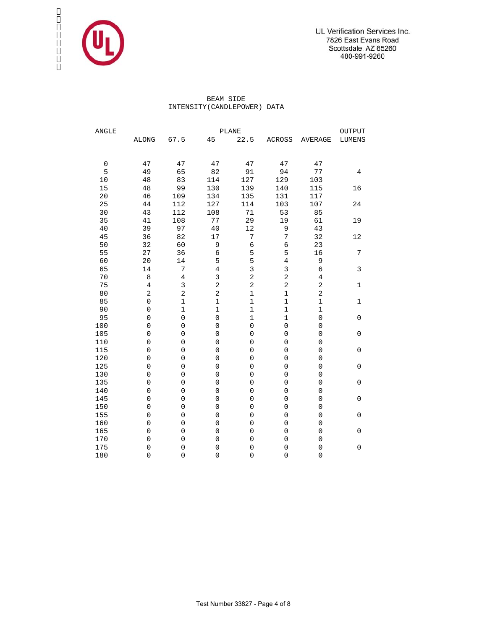

 BEAM SIDE INTENSITY(CANDLEPOWER) DATA

| ANGLE       |                         |                     |                         | PLANE               |                     | OUTPUT                  |                |  |  |
|-------------|-------------------------|---------------------|-------------------------|---------------------|---------------------|-------------------------|----------------|--|--|
|             | <b>ALONG</b>            | 67.5                | 45                      | 22.5                | ACROSS              | <b>AVERAGE</b>          | LUMENS         |  |  |
|             |                         |                     |                         |                     |                     |                         |                |  |  |
| $\mathbf 0$ | 47                      | 47                  | 47                      | 47                  | 47                  | 47                      |                |  |  |
| 5           | 49                      | 65                  | 82                      | 91                  | 94                  | 77                      | $\overline{4}$ |  |  |
| 10          | 48                      | 83                  | 114                     | 127                 | 129                 | 103                     |                |  |  |
| 15          | 48                      | 99                  | 130                     | 139                 | 140                 | 115                     | 16             |  |  |
| 20          | 46                      | 109                 | 134                     | 135                 | 131                 | 117                     |                |  |  |
| 25          | 44                      | 112                 | 127                     | 114                 | 103                 | 107                     | 24             |  |  |
| 30          | 43                      | 112                 | 108                     | 71                  | 53                  | 85                      |                |  |  |
| 35          | 41                      | 108                 | 77                      | 29                  | 19                  | 61                      | 19             |  |  |
| 40          | 39                      | 97                  | 40                      | 12                  | 9                   | 43                      |                |  |  |
| 45          | 36                      | 82                  | 17                      | $\sqrt{ }$          | 7                   | 32                      | 12             |  |  |
| 50          | 32                      | 60                  | 9                       | $\epsilon$          | 6                   | 23                      |                |  |  |
| 55          | 27                      | 36                  | $\overline{6}$          | 5                   | 5                   | 16                      | 7              |  |  |
| 60          | 20                      | 14                  | 5                       | 5                   | $\overline{4}$      | 9                       |                |  |  |
| 65          | 14                      | 7                   | $\overline{4}$          | $\overline{3}$      | 3                   | 6                       | 3              |  |  |
| 70          | 8                       | $\overline{4}$      | 3                       | $\overline{c}$      | $\sqrt{2}$          | 4                       |                |  |  |
| 75          | $\overline{4}$          | 3                   | $\overline{\mathbf{c}}$ | $\overline{c}$      | 2                   | 2                       | 1              |  |  |
| 80          | $\overline{\mathbf{c}}$ | $\overline{a}$      | $\overline{c}$          | $\mathbf 1$         | $\mathbf 1$         | $\overline{\mathbf{c}}$ |                |  |  |
| 85          | $\mathsf{O}\xspace$     | $\mathbf{1}$        | $\mathbf 1$             | $\mathbf 1$         | $\mathbf 1$         | $\mathbf 1$             | 1              |  |  |
| 90          | 0                       | $\mathbf{1}$        | $\mathbf 1$             | $\mathbf 1$         | $\mathbf 1$         | $\mathbf 1$             |                |  |  |
| 95          | $\overline{0}$          | 0                   | $\mathsf{O}\xspace$     | $\mathbf 1$         | $\mathbf 1$         | 0                       | $\mathbf 0$    |  |  |
| 100         | $\mathbf 0$             | 0                   | $\mathbf 0$             | $\overline{0}$      | $\mathsf{O}\xspace$ | 0                       |                |  |  |
| 105         | 0                       | 0                   | $\mathbf 0$             | $\overline{0}$      | $\mathbf 0$         | 0                       | $\mathbf 0$    |  |  |
| 110         | $\overline{0}$          | 0                   | $\mathbf 0$             | $\mathbf 0$         | $\overline{0}$      | $\overline{0}$          |                |  |  |
| 115         | 0                       | $\mathbf 0$         | $\mathbf 0$             | $\mathbf 0$         | $\mathbf 0$         | 0                       | $\mathbf 0$    |  |  |
| 120         | 0                       | $\mathsf{O}\xspace$ | $\mathbf 0$             | $\mathsf 0$         | $\mathbf 0$         | $\mathsf{O}\xspace$     |                |  |  |
| 125         | $\mathbf 0$             | 0                   | $\mathbf 0$             | $\mathbf 0$         | $\mathbf 0$         | $\mathbf 0$             | $\mathbf 0$    |  |  |
| 130         | 0                       | 0                   | $\overline{0}$          | $\overline{0}$      | $\overline{0}$      | $\overline{0}$          |                |  |  |
| 135         | 0                       | 0                   | $\overline{0}$          | $\overline{0}$      | $\mathbf 0$         | 0                       | $\mathbf 0$    |  |  |
| 140         | 0                       | 0                   | $\mathbf 0$             | $\mathbf 0$         | $\mathbf 0$         | 0                       |                |  |  |
| 145         | $\overline{0}$          | $\mathbf 0$         | $\mathbf 0$             | $\mathsf{O}\xspace$ | $\mathbf 0$         | $\mathbf 0$             | 0              |  |  |
| 150         | 0                       | $\mathsf{O}\xspace$ | $\mathsf{O}\xspace$     | $\mathsf 0$         | $\mathsf 0$         | $\mathsf{O}\xspace$     |                |  |  |
| 155         | $\mathbf 0$             | 0                   | $\mathsf{O}\xspace$     | $\mathsf{O}\xspace$ | $\mathsf{O}\xspace$ | $\mathsf{O}\xspace$     | $\mathsf 0$    |  |  |
| 160         | $\mathbf 0$             | 0                   | $\mathbf 0$             | $\mathbf 0$         | $\mathbf 0$         | $\mathbf 0$             |                |  |  |
| 165         | $\mathbf 0$             | 0                   | $\overline{0}$          | $\overline{0}$      | $\mathbf 0$         | $\mathbf 0$             | $\mathbf 0$    |  |  |
| 170         | 0                       | 0                   | $\mathbf 0$             | $\mathbf 0$         | $\mathbf 0$         | 0                       |                |  |  |
| 175         | $\mathbf 0$             | $\mathbf 0$         | $\mathbf 0$             | $\mathbf 0$         | $\mathbf 0$         | $\mathbf 0$             | 0              |  |  |
| 180         | 0                       | 0                   | $\mathsf{O}\xspace$     | $\mathsf{O}\xspace$ | $\overline{0}$      | $\mathsf{O}\xspace$     |                |  |  |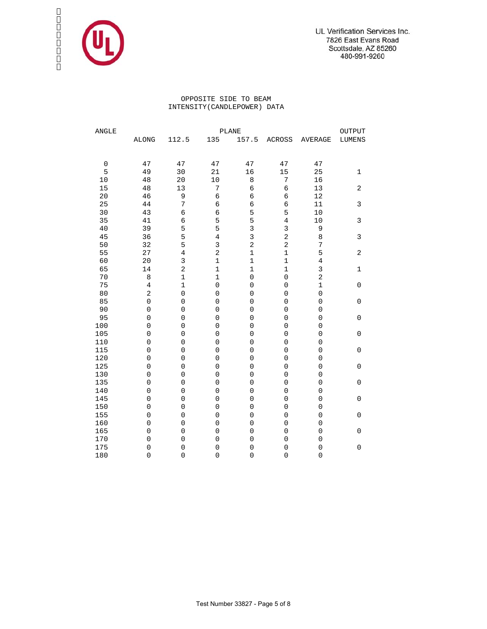

### OPPOSITE SIDE TO BEAM INTENSITY(CANDLEPOWER) DATA

| ANGLE       |                         |                     |                                    | PLANE                                      | OUTPUT                             |                                    |                     |
|-------------|-------------------------|---------------------|------------------------------------|--------------------------------------------|------------------------------------|------------------------------------|---------------------|
|             | <b>ALONG</b>            | 112.5               | 135                                | 157.5                                      | ACROSS                             | <b>AVERAGE</b>                     | LUMENS              |
|             |                         |                     |                                    |                                            |                                    |                                    |                     |
| $\mathbf 0$ | 47                      | 47                  | 47                                 | 47                                         | 47                                 | 47                                 |                     |
| 5           | 49                      | 30                  | 21                                 | 16                                         | 15                                 | 25                                 | 1                   |
| $10$        | 48                      | 20                  | $10$                               | 8                                          | 7                                  | 16                                 |                     |
| 15          | 48                      | 13                  | 7                                  | 6                                          | $\epsilon$                         | 13                                 | $\sqrt{2}$          |
| $20\,$      | 46                      | 9                   | $\epsilon$                         | 6                                          | 6                                  | 12                                 |                     |
| 25          | 44                      | $\sqrt{ }$          | б                                  | $\sqrt{6}$                                 | $\epsilon$                         | $11\,$                             | 3                   |
| 30          | 43                      | $\overline{6}$      | $\epsilon$                         | 5                                          | 5                                  | 10                                 |                     |
| 35          | 41                      | $\epsilon$          | 5                                  | 5                                          | $\overline{4}$                     | 10                                 | 3                   |
| 40          | 39                      | 5                   | 5                                  | 3                                          | 3                                  | 9                                  |                     |
| 45          | 36                      | 5                   | $\,4$                              | $\overline{3}$                             | $\sqrt{2}$                         | 8                                  | 3                   |
| 50          | 32                      | 5                   | $\overline{3}$                     | $\overline{a}$                             | $\overline{a}$                     | 7                                  |                     |
| 55          | 27                      | $\overline{4}$      | $\overline{a}$                     | $\mathbf 1$                                | $\mathbf 1$                        | 5                                  | $\sqrt{2}$          |
| 60          | 20                      | $\overline{3}$      | $\mathbf{1}$                       | $\mathbf 1$                                | $\mathbf 1$                        | $\,4$                              |                     |
| 65          | 14                      | $\overline{a}$      | $\mathbf 1$                        | $\mathbf 1$                                | $\mathbf 1$                        | 3                                  | 1                   |
| 70          | 8                       | $\mathbf 1$         | $\mathbf 1$                        | $\mathbf 0$                                | $\mathsf{O}\xspace$                | $\sqrt{2}$                         |                     |
| 75          | $\overline{4}$          | $\mathbf 1$         | $\mathbf 0$                        | $\mathsf 0$                                | $\mathbf 0$                        | $\mathbf 1$                        | $\mathsf{O}\xspace$ |
| 80          | $\overline{\mathbf{c}}$ | $\mathsf{O}\xspace$ | $\mathbf 0$                        | $\mathsf{O}\xspace$                        | $\overline{0}$                     | $\mathsf{O}\xspace$                |                     |
| 85          | $\mathsf{O}\xspace$     | $\mathbf 0$         | $\mathsf{O}\xspace$                | $\mathsf{O}\xspace$                        | $\mathbf 0$                        | 0                                  | $\mathsf 0$         |
| 90          | $\mathsf{O}\xspace$     | $\mathsf{O}\xspace$ | $\mathsf{O}\xspace$                | $\mathsf{O}\xspace$                        | $\mathsf{O}\xspace$                | $\mathsf{O}\xspace$                |                     |
| 95          | $\mathbf 0$             | $\mathbf 0$         | $\mathbf 0$                        | $\mathbf 0$                                | $\mathbf 0$                        | 0                                  | $\mathbf 0$         |
| 100         | $\mathbf 0$             | $\mathbf 0$         | $\mathbf 0$                        | $\mathbf 0$                                | $\mathbf 0$                        | 0                                  |                     |
| 105         | 0                       | $\mathbf 0$         | $\mathbf 0$                        | $\mathsf 0$                                | $\mathbf 0$                        | 0                                  | 0                   |
| 110         | $\overline{0}$          | 0                   | $\mathbf 0$                        | $\mathbf 0$                                | $\overline{0}$                     | $\overline{0}$                     |                     |
| 115         | 0                       | $\mathbf 0$         | $\mathbf 0$                        | $\mathsf{O}\xspace$                        | $\mathbf 0$                        | 0                                  | $\mathbf 0$         |
| 120<br>125  | 0<br>$\mathbf 0$        | $\mathsf{O}\xspace$ | $\mathsf{O}\xspace$<br>$\mathbf 0$ | $\mathsf{O}\xspace$<br>$\mathsf{O}\xspace$ | $\mathsf{O}\xspace$<br>$\mathbf 0$ | $\mathsf{O}\xspace$<br>$\mathbf 0$ | $\mathbf 0$         |
| 130         | $\mathbf 0$             | 0<br>$\mathbf 0$    | $\overline{0}$                     | $\overline{0}$                             | $\overline{0}$                     | $\mathbf 0$                        |                     |
| 135         | 0                       | $\mathbf 0$         | $\mathbf 0$                        | $\overline{0}$                             | $\mathbf 0$                        | $\mathbf 0$                        | $\mathbf 0$         |
| 140         | 0                       | 0                   | $\mathbf 0$                        | $\mathbf 0$                                | $\overline{0}$                     | $\overline{0}$                     |                     |
| 145         | $\mathbf 0$             | $\mathbf 0$         | $\mathbf 0$                        | $\mathsf{O}\xspace$                        | $\mathsf{O}\xspace$                | $\mathbf 0$                        | 0                   |
| 150         | 0                       | $\mathsf{O}\xspace$ | $\mathsf{O}\xspace$                | $\mbox{O}$                                 | $\mbox{O}$                         | $\mathsf{O}\xspace$                |                     |
| 155         | $\mathbf 0$             | $\mathsf{O}\xspace$ | $\mathsf{O}\xspace$                | $\mathsf{O}\xspace$                        | $\mathsf{O}\xspace$                | $\mathsf{O}\xspace$                | $\mathsf 0$         |
| 160         | $\mathbf 0$             | $\mathbf 0$         | $\mathbf 0$                        | $\mathbf 0$                                | $\mathbf 0$                        | 0                                  |                     |
| 165         | $\mathbf 0$             | $\mathbf 0$         | $\mathbf 0$                        | $\mathsf 0$                                | $\mathbf 0$                        | 0                                  | $\mathbf 0$         |
| 170         | 0                       | $\mathsf{O}\xspace$ | $\mathbf 0$                        | $\mathbf 0$                                | $\mathbf 0$                        | 0                                  |                     |
| 175         | $\mathbf 0$             | $\mathsf{O}\xspace$ | $\mathbf 0$                        | $\mathbf 0$                                | $\mathbf 0$                        | $\mathbf 0$                        | 0                   |
| 180         | 0                       | $\mathsf{O}\xspace$ | $\mathsf{O}\xspace$                | $\mathbf 0$                                | $\mathsf{O}\xspace$                | $\mathsf{O}\xspace$                |                     |
|             |                         |                     |                                    |                                            |                                    |                                    |                     |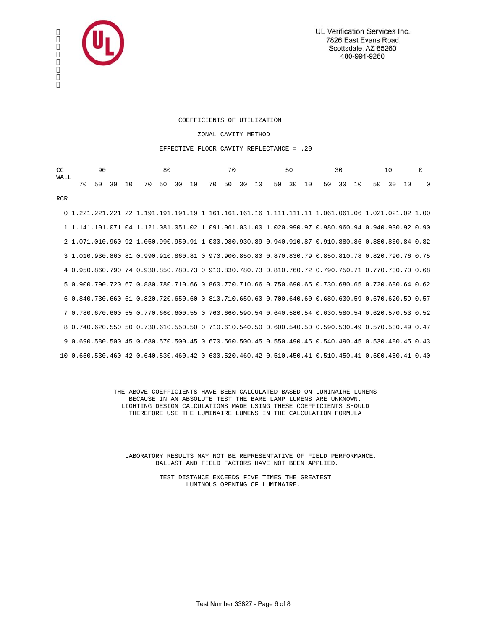

#### COEFFICIENTS OF UTILIZATION

#### ZONAL CAVITY METHOD

#### EFFECTIVE FLOOR CAVITY REFLECTANCE = .20

| CC   | 90 |  |                                                                  |  | -80 |  |  |  | 70 |  |  | 50 — | 30 |  | 10 |  |  |
|------|----|--|------------------------------------------------------------------|--|-----|--|--|--|----|--|--|------|----|--|----|--|--|
| WALL |    |  | 70 50 30 10 70 50 30 10 70 50 30 10 50 30 10 50 30 10 50 30 10 0 |  |     |  |  |  |    |  |  |      |    |  |    |  |  |
| RCR  |    |  |                                                                  |  |     |  |  |  |    |  |  |      |    |  |    |  |  |

 0 1.221.221.221.22 1.191.191.191.19 1.161.161.161.16 1.111.111.11 1.061.061.06 1.021.021.02 1.00 1 1.141.101.071.04 1.121.081.051.02 1.091.061.031.00 1.020.990.97 0.980.960.94 0.940.930.92 0.90 2 1.071.010.960.92 1.050.990.950.91 1.030.980.930.89 0.940.910.87 0.910.880.86 0.880.860.84 0.82 3 1.010.930.860.81 0.990.910.860.81 0.970.900.850.80 0.870.830.79 0.850.810.78 0.820.790.76 0.75 4 0.950.860.790.74 0.930.850.780.73 0.910.830.780.73 0.810.760.72 0.790.750.71 0.770.730.70 0.68 5 0.900.790.720.67 0.880.780.710.66 0.860.770.710.66 0.750.690.65 0.730.680.65 0.720.680.64 0.62 6 0.840.730.660.61 0.820.720.650.60 0.810.710.650.60 0.700.640.60 0.680.630.59 0.670.620.59 0.57 7 0.780.670.600.55 0.770.660.600.55 0.760.660.590.54 0.640.580.54 0.630.580.54 0.620.570.53 0.52 8 0.740.620.550.50 0.730.610.550.50 0.710.610.540.50 0.600.540.50 0.590.530.49 0.570.530.49 0.47 9 0.690.580.500.45 0.680.570.500.45 0.670.560.500.45 0.550.490.45 0.540.490.45 0.530.480.45 0.43 10 0.650.530.460.42 0.640.530.460.42 0.630.520.460.42 0.510.450.41 0.510.450.41 0.500.450.41 0.40

> THE ABOVE COEFFICIENTS HAVE BEEN CALCULATED BASED ON LUMINAIRE LUMENS BECAUSE IN AN ABSOLUTE TEST THE BARE LAMP LUMENS ARE UNKNOWN. LIGHTING DESIGN CALCULATIONS MADE USING THESE COEFFICIENTS SHOULD THEREFORE USE THE LUMINAIRE LUMENS IN THE CALCULATION FORMULA

 LABORATORY RESULTS MAY NOT BE REPRESENTATIVE OF FIELD PERFORMANCE. BALLAST AND FIELD FACTORS HAVE NOT BEEN APPLIED.

> TEST DISTANCE EXCEEDS FIVE TIMES THE GREATEST LUMINOUS OPENING OF LUMINAIRE.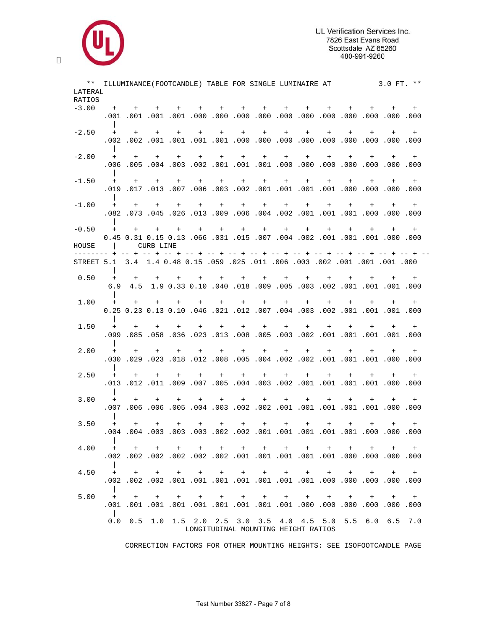

| LATERAL                                                                   |               |         |           |                 |         | ILLUMINANCE (FOOTCANDLE) TABLE FOR SINGLE LUMINAIRE AT                                         |         |                 |     |     |     |         |         | 3.0 FT. ** |         |
|---------------------------------------------------------------------------|---------------|---------|-----------|-----------------|---------|------------------------------------------------------------------------------------------------|---------|-----------------|-----|-----|-----|---------|---------|------------|---------|
| RATIOS                                                                    |               |         |           |                 |         |                                                                                                |         |                 |     |     |     |         |         |            |         |
| $-3.00$                                                                   | $+$           | $+$     |           | $+$ $+$ $+$     |         | $+$                                                                                            |         | $+$ $+$         | $+$ | $+$ | $+$ | $+$     | $+$     | $+$        | $+$     |
|                                                                           |               |         |           |                 |         | 000. 000. 000. 000. 000. 000. 000. 000. 000. 000. 000. 100. 100. 100. 100.                     |         |                 |     |     |     |         |         |            |         |
| $-2.50$                                                                   |               | $+$ $+$ | $+$       | $+$             | $+$     | $+$<br>000. 000. 000. 000. 000. 000. 000. 000. 000. 000. 001. 001. 000. 001. 002. 000.         | $+$ $-$ | $+$ $-$         | $+$ | $+$ | $+$ | $+$     | $+$     | $+$        | $+$     |
| $-2.00$                                                                   | $+$           | $+$     |           | $+$ $+$         | $+$ $-$ | $+$ $-$                                                                                        |         | $+$ $+$         | $+$ | $+$ | $+$ | $+$     | $+$     | $+$        | $+$     |
|                                                                           |               |         |           |                 |         | 000. 000. 000. 000. 000. 000. 000. 000. 001. 000. 000. 000. 000. 000. 000.                     |         |                 |     |     |     |         |         |            |         |
| $-1.50$                                                                   |               | $+$ $+$ | $+$       | $+$             | $+$     |                                                                                                |         | $+$ $+$ $+$ $+$ |     | $+$ | $+$ | $+$     | $+$     | $+$        | $+$     |
| $-1.00$                                                                   | $+$           | $+$     | $+$       | $+$             | $+$     | $+$                                                                                            |         | $+$ $+$         | $+$ | $+$ | $+$ | $+$     | $+$     | $+$        | $+$     |
|                                                                           |               |         |           |                 |         |                                                                                                |         |                 |     |     |     |         |         |            |         |
| $-0.50$                                                                   | $+$           | $+$     |           | $+$ $+$         |         | 0.00. 000. 001. 001. 001. 002. 002. 004. 007. 001. 001. 001. 0.15 0.15 0.13                    |         |                 |     | $+$ | $+$ | $+$     | $+$     | $+$        | $+$     |
| HOUSE                                                                     | $\mathcal{L}$ |         | CURB LINE |                 |         |                                                                                                |         |                 |     |     |     |         |         |            |         |
| 001. 001. 001. 001. 002. 002. 003. 002. 001. 005. 059. 015. 059. 1.4 0.48 |               |         |           |                 |         |                                                                                                |         |                 |     |     |     |         |         |            |         |
| 0.50                                                                      | $+$           | $+$     |           | $+$ $+$         |         | 000. 001. 001. 001. 002. 003. 003. 005. 009. 001. 001. 003. 009. 009. 009. 009                 |         |                 |     |     |     |         | $+$ $-$ |            | $+$ $+$ |
| 1.00                                                                      |               |         |           |                 |         | + + + + + + + + + + + + + + +                                                                  |         |                 |     |     |     |         |         |            |         |
|                                                                           |               |         |           |                 |         | 0.00. 100. 100. 100. 002. 003. 003. 004. 007. 002. 100. 004. 0.10. 0.10. 0.13                  |         |                 |     |     |     |         |         |            |         |
| 1.50                                                                      | $+$           | $+$     | $+$       | $+$             | $+$     | $+$                                                                                            | $+$     | $+$             | $+$ | $+$ | $+$ | $+$     | $+$     | $+$        | $+$     |
| 2.00                                                                      | $+$           | $+$     | $+$       | $+$             | $+$     | $+$                                                                                            | $+$     | $+$             | $+$ | $+$ | $+$ | $+$     |         |            | $+$     |
|                                                                           |               |         |           |                 |         |                                                                                                |         |                 |     |     |     |         |         |            |         |
| 2.50                                                                      |               | $+$     | $+$       | $+$             |         | $+$<br>000. 000. 100. 100. 100. 100. 100. 200. 600. 400. 600. 600. 600. 110. 100. 610.         | $+$     | $+$             | $+$ | $+$ | $+$ | $+$     | $+$     | $+$        | $+$     |
| 3.00                                                                      | $+$           | $+$     | $+$       | $+$             | $+$ $-$ |                                                                                                |         | $+$ $+$ $+$     | $+$ | $+$ | $+$ | $+$     | $+$     | $+$        | $+$     |
|                                                                           |               |         |           |                 |         |                                                                                                |         |                 |     |     |     |         |         |            |         |
| 3.50                                                                      | $+$           | $+$     | $+$       | $+$             | $+$     | $+$                                                                                            | $+$     | $+$             | $+$ | $+$ | $+$ | $+$     | $+$     | $+$        | $+$     |
| 4.00                                                                      | $+$ $-$       | $+$     | $+$       | $+$             |         | $\begin{array}{ccccccccccccccccccccc} + & & + & & + & & + & & + & & + & & + \end{array}$       |         |                 |     |     | $+$ | + + + + |         |            |         |
|                                                                           |               |         |           |                 |         |                                                                                                |         |                 |     |     |     |         |         |            |         |
| 4.50                                                                      |               | $+$ $+$ |           |                 |         | + + + + + + + + + +                                                                            |         |                 |     |     |     |         | $+$     | $+$        |         |
| 5.00                                                                      | $+$           | $+$     | $+$       | $^{\mathrm{+}}$ | $+$     | $+$                                                                                            | $+$     | $+$             | $+$ | $+$ | $+$ | $+$     | $+$     | $+$        | $+$     |
|                                                                           | $\perp$       |         |           |                 |         | 000. 000. 000. 000. 000. 000. 000. 001. 000. 000. 000. 001. 001. 001. 001. 001.                |         |                 |     |     |     |         |         |            |         |
|                                                                           | 0.0           |         |           |                 |         | 0.5 1.0 1.5 2.0 2.5 3.0 3.5 4.0 4.5 5.0 5.5 6.0 6.5 7.0<br>LONGITUDINAL MOUNTING HEIGHT RATIOS |         |                 |     |     |     |         |         |            |         |

CORRECTION FACTORS FOR OTHER MOUNTING HEIGHTS: SEE ISOFOOTCANDLE PAGE